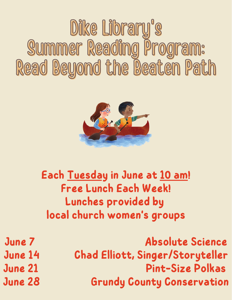## Dike Library's Summer Reading Program: Read Beyond the Beaten Path



## **Each Tuesday in June at 10 am! Free Lunch Each Week! Lunches provided by local church women's groups**

**June 7 Absolute Science June 14 Chad Elliott, Singer/Storyteller June 21 Pint-Size Polkas June 28 Grundy County Conservation**